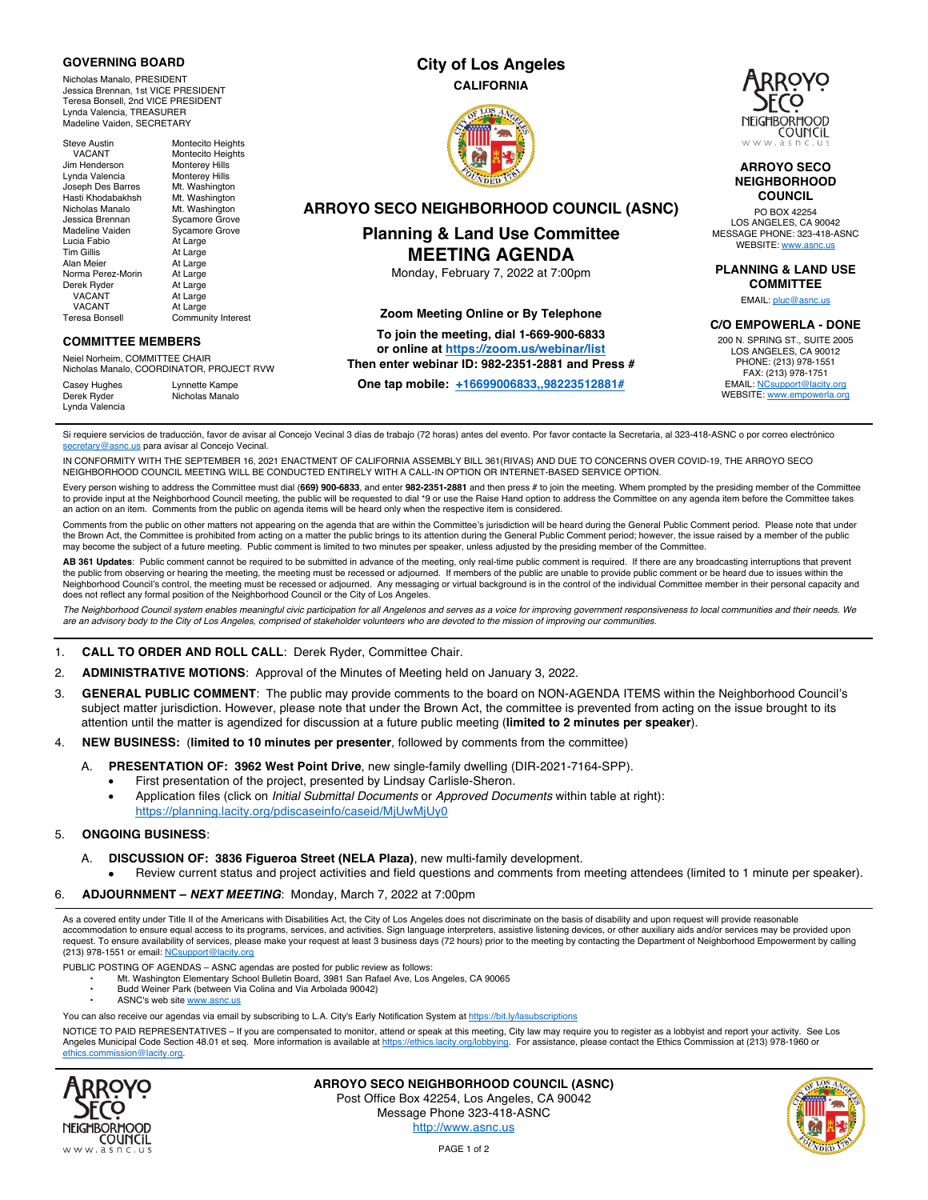### **GOVERNING BOARD**

Nicholas Manalo, PRESIDENT Jessica Brennan, 1st VICE PRESIDENT Teresa Bonsell, 2nd VICE PRESIDENT Lynda Valencia, TREASURER Madeline Vaiden, SECRETARY

## **City of Los Angeles CALIFORNIA**



**ARROYO SECO NEIGHBORHOOD COUNCIL (ASNC) Planning & Land Use Committee MEETING AGENDA**  Monday, February 7, 2022 at 7:00pm

> **Zoom Meeting Online or By Telephone To join the meeting, dial 1-669-900-6833 or online at https://zoom.us/webinar/list Then enter webinar ID: 982-2351-2881 and Press # One tap mobile: +16699006833,,98223512881#**



#### **ARROYO SECO NEIGHBORHOOD COUNCIL**

PO BOX 42254 LOS ANGELES, CA 90042 MESSAGE PHONE: 323-418-ASNC webSITE: www.asnc.us

**PLANNING & LAND USE COMMITTEE**

EMAIL: pluc@asnc.us

**C/O EMPOWERLA - DONE**

200 N. SPRING ST., SUITE 2005 LOS ANGELES, CA 90012 PHONE: (213) 978-1551 FAX: (213) 978-1751 EMAIL: NCsupport@lacity.org WEBSITE: www.empowerla.org

Steve Austin Montecito Heights vACANT<br>
VACANT Montecito Heights<br>
m Henderson Monterev Hills Jim Henderson Monterey Hills<br>Lynda Valencia Monterey Hills Lynda Valencia<br>Joseph Des Barres Joseph Des Barres Mt. Washington Mt. Washington<br>Mt. Washington Nicholas Manalo<br>Jessica Brennan Jessica Brennan Sycamore Grove Sycamore Grove Lucia Fabio <sup>At Large</sup><br>Tim Gillis **At Large** Tim Gillis At Large<br>Alan Meier At Large At Large<br>At Large Norma Perez-Morin Derek Ryder At Large<br>VACANT At Large VACANT At Large<br>VACANT At Large At Large Teresa Bonsell Community Interest

### **COMMITTEE MEMBERS**

Neiel Norheim, COMMITTEE CHAIR Nicholas Manalo, COORDINATOR, PROJECT RVW

Nicholas Manalo

Casey Hughes Lynnette Kampe<br>Derek Ryder Micholas Manalo Lynda Valencia

Si requiere servicios de traducción, favor de avisar al Concejo Vecinal 3 días de trabajo (72 horas) antes del evento. Por favor contacte la Secretaria, al 323-418-ASNC o por correo electrónico secretary@asnc.us para avisar al Concejo Vecinal.

IN CONFORMITY WITH THE SEPTEMBER 16, 2021 ENACTMENT OF CALIFORNIA ASSEMBLY BILL 361(RIVAS) AND DUE TO CONCERNS OVER COVID-19, THE ARROYO SECO NEIGHBORHOOD COUNCIL MEETING WILL BE CONDUCTED ENTIRELY WITH A CALL-IN OPTION OR INTERNET-BASED SERVICE OPTION.

Every person wishing to address the Committee must dial (**669) 900-6833**, and enter **982-2351-2881** and then press # to join the meeting. Whem prompted by the presiding member of the Committee to provide input at the Neighborhood Council meeting, the public will be requested to dial \*9 or use the Raise Hand option to address the Committee on any agenda item before the Committee takes an action on an item. Comments from the public on agenda items will be heard only when the respective item is considered.

Comments from the public on other matters not appearing on the agenda that are within the Committee's jurisdiction will be heard during the General Public Comment period. Please note that under the Brown Act, the Committee is prohibited from acting on a matter the public brings to its attention during the General Public Comment period; however, the issue raised by a member of the public may become the subject of a future meeting. Public comment is limited to two minutes per speaker, unless adjusted by the presiding member of the Committee.

**AB 361 Updates**: Public comment cannot be required to be submitted in advance of the meeting, only real-time public comment is required. If there are any broadcasting interruptions that prevent<br>the public from observing o Neighborhood Council's control, the meeting must be recessed or adjourned. Any messaging or virtual background is in the control of the individual Committee member in their personal capacity and does not reflect any formal position of the Neighborhood Council or the City of Los Angeles.

*The Neighborhood Council system enables meaningful civic participation for all Angelenos and serves as a voice for improving government responsiveness to local communities and their needs. We are an advisory body to the City of Los Angeles, comprised of stakeholder volunteers who are devoted to the mission of improving our communities.*

#### 1. **CALL TO ORDER AND ROLL CALL**: Derek Ryder, Committee Chair.

- 2. **ADMINISTRATIVE MOTIONS**: Approval of the Minutes of Meeting held on January 3, 2022.
- 3. **GENERAL PUBLIC COMMENT**: The public may provide comments to the board on NON-AGENDA ITEMS within the Neighborhood Council's subject matter jurisdiction. However, please note that under the Brown Act, the committee is prevented from acting on the issue brought to its attention until the matter is agendized for discussion at a future public meeting (**limited to 2 minutes per speaker**).
- 4. **NEW BUSINESS:** (**limited to 10 minutes per presenter**, followed by comments from the committee)
	- A. **PRESENTATION OF: 3962 West Point Drive**, new single-family dwelling (DIR-2021-7164-SPP).
		- First presentation of the project, presented by Lindsay Carlisle-Sheron.
		- Application files (click on *Initial Submittal Documents* or *Approved Documents* within table at right): https://planning.lacity.org/pdiscaseinfo/caseid/MjUwMjUy0

### 5. **ONGOING BUSINESS**:

A. **DISCUSSION OF: 3836 Figueroa Street (NELA Plaza)**, new multi-family development. • Review current status and project activities and field questions and comments from meeting attendees (limited to 1 minute per speaker).

## 6. **ADJOURNMENT –** *NEXT MEETING*: Monday, March 7, 2022 at 7:00pm

As a covered entity under Title II of the Americans with Disabilities Act, the City of Los Angeles does not discriminate on the basis of disability and upon request will provide reasonable accommodation to ensure equal access to its programs, services, and activities. Sign language interpreters, assistive listening devices, or other auxiliary aids and/or services may be provided upon request. To ensure availability of services, please make your request at least 3 business days (72 hours) prior to the meeting by contacting the Department of Neighborhood Empowerment by calling (213) 978-1551 or email: NCsupport@lacity.org

PUBLIC POSTING OF AGENDAS – ASNC agendas are posted for public review as follows:

- Mt. Washington Elementary School Bulletin Board, 3981 San Rafael Ave, Los Angeles, CA 90065
- Budd Weiner Park (between Via Colina and Via Arbolada 90042)
- ASNC's web site www.asnc.us
- You can also receive our agendas via email by subscribing to L.A. City's Early Notification System at https://bit.ly/lasubscriptions

NOTICE TO PAID REPRESENTATIVES – If you are compensated to monitor, attend or speak at this meeting, City law may require you to register as a lobbyist and report your activity. See Los Angeles Municipal Code Section 48.01 et seq. More information is available at https://ethics.lacity.org/lobbying. For assistance, please contact the Ethics Commission at (213) 978-1960 or ethics.commission@lacity.org.



**ARROYO SECO NEIGHBORHOOD COUNCIL (ASNC)** Post Office Box 42254, Los Angeles, CA 90042 Message Phone 323-418-ASNC http://www.asnc.us